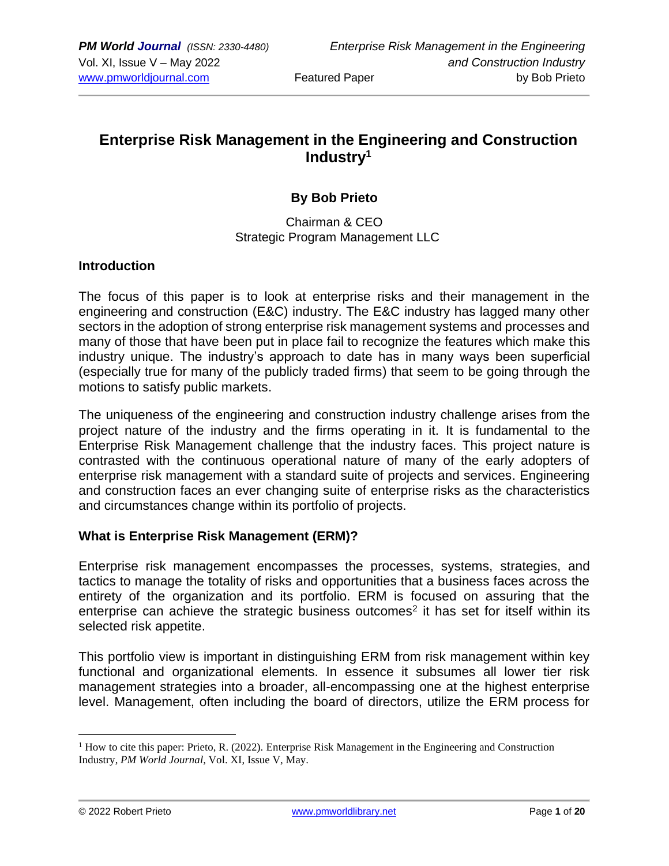# **Enterprise Risk Management in the Engineering and Construction Industry<sup>1</sup>**

# **By Bob Prieto**

Chairman & CEO Strategic Program Management LLC

## **Introduction**

The focus of this paper is to look at enterprise risks and their management in the engineering and construction (E&C) industry. The E&C industry has lagged many other sectors in the adoption of strong enterprise risk management systems and processes and many of those that have been put in place fail to recognize the features which make this industry unique. The industry's approach to date has in many ways been superficial (especially true for many of the publicly traded firms) that seem to be going through the motions to satisfy public markets.

The uniqueness of the engineering and construction industry challenge arises from the project nature of the industry and the firms operating in it. It is fundamental to the Enterprise Risk Management challenge that the industry faces. This project nature is contrasted with the continuous operational nature of many of the early adopters of enterprise risk management with a standard suite of projects and services. Engineering and construction faces an ever changing suite of enterprise risks as the characteristics and circumstances change within its portfolio of projects.

## **What is Enterprise Risk Management (ERM)?**

Enterprise risk management encompasses the processes, systems, strategies, and tactics to manage the totality of risks and opportunities that a business faces across the entirety of the organization and its portfolio. ERM is focused on assuring that the enterprise can achieve the strategic business outcomes<sup>2</sup> it has set for itself within its selected risk appetite.

This portfolio view is important in distinguishing ERM from risk management within key functional and organizational elements. In essence it subsumes all lower tier risk management strategies into a broader, all-encompassing one at the highest enterprise level. Management, often including the board of directors, utilize the ERM process for

<sup>&</sup>lt;sup>1</sup> How to cite this paper: Prieto, R. (2022). Enterprise Risk Management in the Engineering and Construction Industry, *PM World Journal*, Vol. XI, Issue V, May.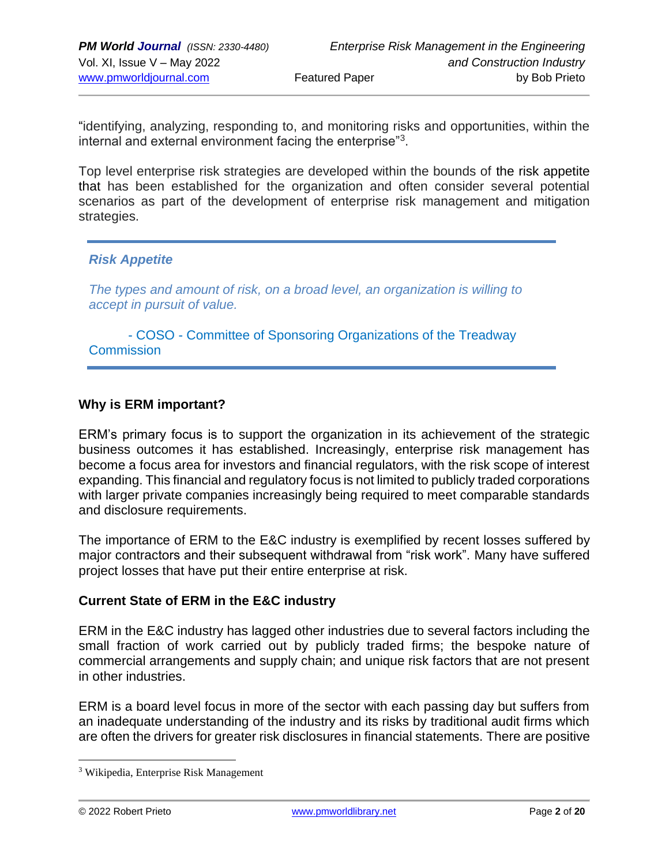"identifying, analyzing, responding to, and monitoring risks and opportunities, within the internal and external environment facing the enterprise"<sup>3</sup>.

Top level enterprise risk strategies are developed within the bounds of the risk appetite that has been established for the organization and often consider several potential scenarios as part of the development of enterprise risk management and mitigation strategies.

## *Risk Appetite*

*The types and amount of risk, on a broad level, an organization is willing to accept in pursuit of value.*

- COSO - Committee of Sponsoring Organizations of the Treadway **Commission** 

## **Why is ERM important?**

ERM's primary focus is to support the organization in its achievement of the strategic business outcomes it has established. Increasingly, enterprise risk management has become a focus area for investors and financial regulators, with the risk scope of interest expanding. This financial and regulatory focus is not limited to publicly traded corporations with larger private companies increasingly being required to meet comparable standards and disclosure requirements.

The importance of ERM to the E&C industry is exemplified by recent losses suffered by major contractors and their subsequent withdrawal from "risk work". Many have suffered project losses that have put their entire enterprise at risk.

## **Current State of ERM in the E&C industry**

ERM in the E&C industry has lagged other industries due to several factors including the small fraction of work carried out by publicly traded firms; the bespoke nature of commercial arrangements and supply chain; and unique risk factors that are not present in other industries.

ERM is a board level focus in more of the sector with each passing day but suffers from an inadequate understanding of the industry and its risks by traditional audit firms which are often the drivers for greater risk disclosures in financial statements. There are positive

<sup>3</sup> Wikipedia, Enterprise Risk Management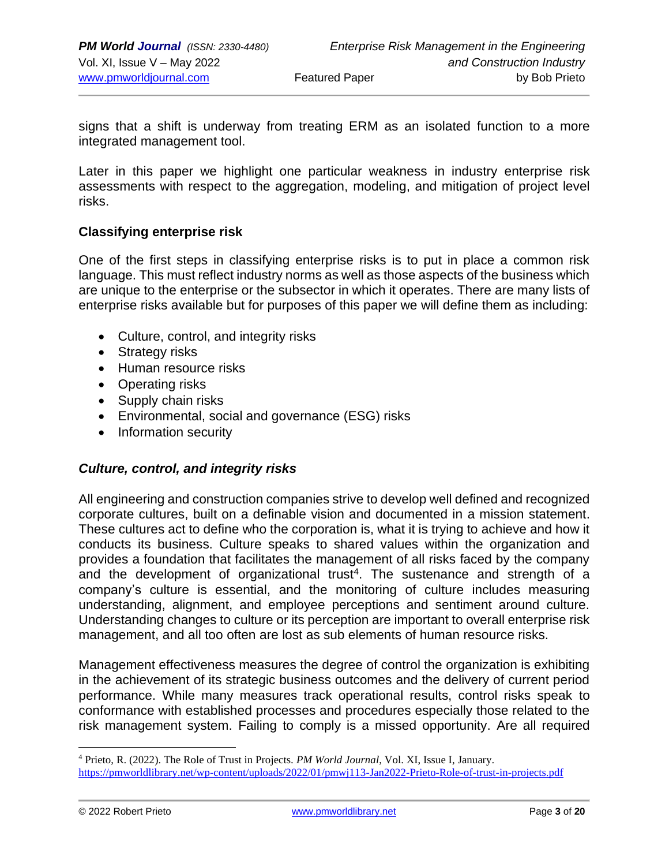signs that a shift is underway from treating ERM as an isolated function to a more integrated management tool.

Later in this paper we highlight one particular weakness in industry enterprise risk assessments with respect to the aggregation, modeling, and mitigation of project level risks.

## **Classifying enterprise risk**

One of the first steps in classifying enterprise risks is to put in place a common risk language. This must reflect industry norms as well as those aspects of the business which are unique to the enterprise or the subsector in which it operates. There are many lists of enterprise risks available but for purposes of this paper we will define them as including:

- Culture, control, and integrity risks
- Strategy risks
- Human resource risks
- Operating risks
- Supply chain risks
- Environmental, social and governance (ESG) risks
- Information security

# *Culture, control, and integrity risks*

All engineering and construction companies strive to develop well defined and recognized corporate cultures, built on a definable vision and documented in a mission statement. These cultures act to define who the corporation is, what it is trying to achieve and how it conducts its business. Culture speaks to shared values within the organization and provides a foundation that facilitates the management of all risks faced by the company and the development of organizational trust<sup>4</sup>. The sustenance and strength of a company's culture is essential, and the monitoring of culture includes measuring understanding, alignment, and employee perceptions and sentiment around culture. Understanding changes to culture or its perception are important to overall enterprise risk management, and all too often are lost as sub elements of human resource risks.

Management effectiveness measures the degree of control the organization is exhibiting in the achievement of its strategic business outcomes and the delivery of current period performance. While many measures track operational results, control risks speak to conformance with established processes and procedures especially those related to the risk management system. Failing to comply is a missed opportunity. Are all required

<sup>4</sup> Prieto, R. (2022). The Role of Trust in Projects. *PM World Journal*, Vol. XI, Issue I, January.

<https://pmworldlibrary.net/wp-content/uploads/2022/01/pmwj113-Jan2022-Prieto-Role-of-trust-in-projects.pdf>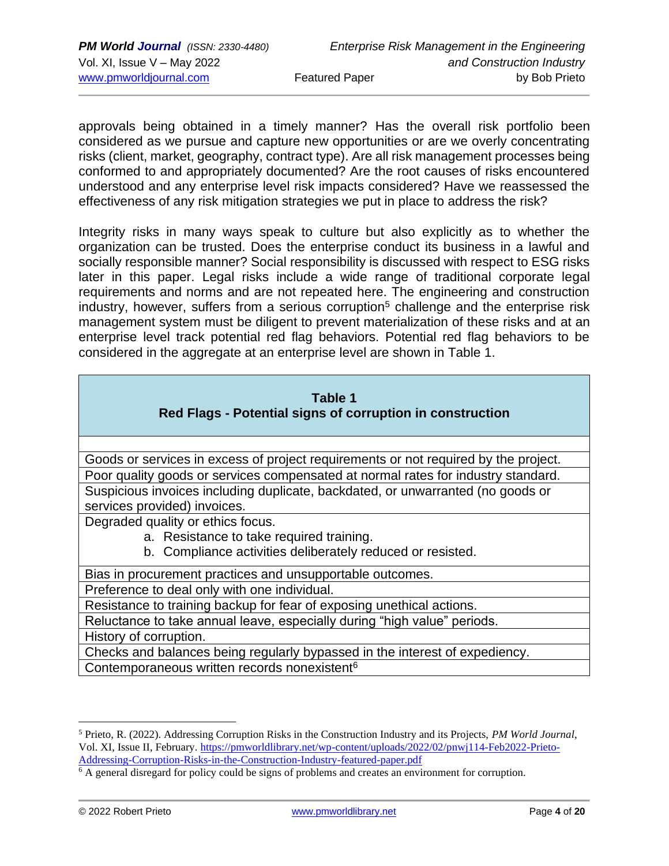approvals being obtained in a timely manner? Has the overall risk portfolio been considered as we pursue and capture new opportunities or are we overly concentrating risks (client, market, geography, contract type). Are all risk management processes being conformed to and appropriately documented? Are the root causes of risks encountered understood and any enterprise level risk impacts considered? Have we reassessed the effectiveness of any risk mitigation strategies we put in place to address the risk?

Integrity risks in many ways speak to culture but also explicitly as to whether the organization can be trusted. Does the enterprise conduct its business in a lawful and socially responsible manner? Social responsibility is discussed with respect to ESG risks later in this paper. Legal risks include a wide range of traditional corporate legal requirements and norms and are not repeated here. The engineering and construction industry, however, suffers from a serious corruption<sup>5</sup> challenge and the enterprise risk management system must be diligent to prevent materialization of these risks and at an enterprise level track potential red flag behaviors. Potential red flag behaviors to be considered in the aggregate at an enterprise level are shown in Table 1.

| Table 1<br><b>Red Flags - Potential signs of corruption in construction</b>                                     |  |  |  |  |
|-----------------------------------------------------------------------------------------------------------------|--|--|--|--|
|                                                                                                                 |  |  |  |  |
| Goods or services in excess of project requirements or not required by the project.                             |  |  |  |  |
| Poor quality goods or services compensated at normal rates for industry standard.                               |  |  |  |  |
| Suspicious invoices including duplicate, backdated, or unwarranted (no goods or<br>services provided) invoices. |  |  |  |  |
| Degraded quality or ethics focus.                                                                               |  |  |  |  |
| a. Resistance to take required training.                                                                        |  |  |  |  |
| b. Compliance activities deliberately reduced or resisted.                                                      |  |  |  |  |
| Bias in procurement practices and unsupportable outcomes.                                                       |  |  |  |  |
| Preference to deal only with one individual.                                                                    |  |  |  |  |
| Resistance to training backup for fear of exposing unethical actions.                                           |  |  |  |  |
| Reluctance to take annual leave, especially during "high value" periods.                                        |  |  |  |  |
| History of corruption.                                                                                          |  |  |  |  |
| Checks and balances being regularly bypassed in the interest of expediency.                                     |  |  |  |  |
| Contemporaneous written records nonexistent <sup>6</sup>                                                        |  |  |  |  |
|                                                                                                                 |  |  |  |  |

<sup>5</sup> Prieto, R. (2022). Addressing Corruption Risks in the Construction Industry and its Projects, *PM World Journal*, Vol. XI, Issue II, February. [https://pmworldlibrary.net/wp-content/uploads/2022/02/pnwj114-Feb2022-Prieto-](https://pmworldlibrary.net/wp-content/uploads/2022/02/pnwj114-Feb2022-Prieto-Addressing-Corruption-Risks-in-the-Construction-Industry-featured-paper.pdf)[Addressing-Corruption-Risks-in-the-Construction-Industry-featured-paper.pdf](https://pmworldlibrary.net/wp-content/uploads/2022/02/pnwj114-Feb2022-Prieto-Addressing-Corruption-Risks-in-the-Construction-Industry-featured-paper.pdf)

<sup>6</sup> A general disregard for policy could be signs of problems and creates an environment for corruption.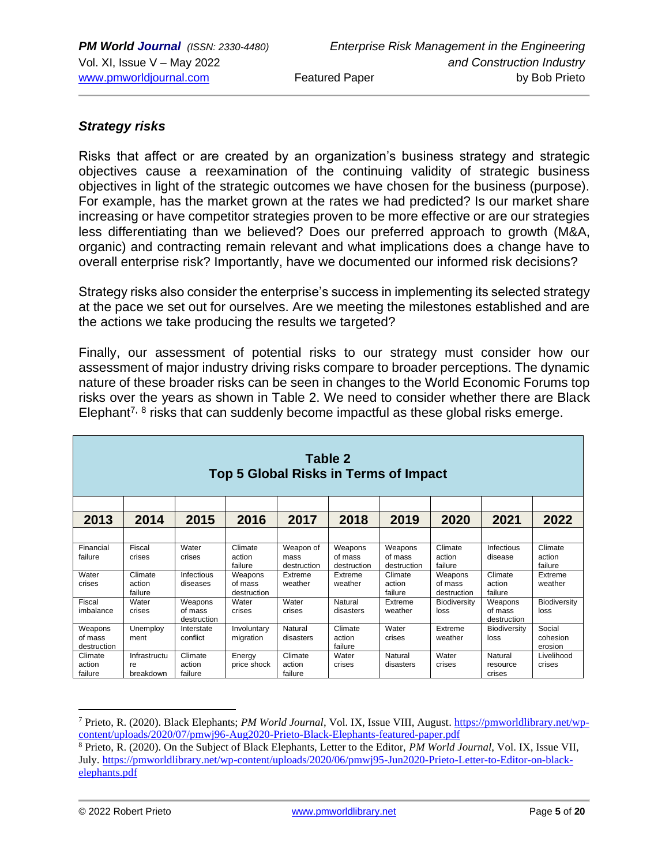# *Strategy risks*

Risks that affect or are created by an organization's business strategy and strategic objectives cause a reexamination of the continuing validity of strategic business objectives in light of the strategic outcomes we have chosen for the business (purpose). For example, has the market grown at the rates we had predicted? Is our market share increasing or have competitor strategies proven to be more effective or are our strategies less differentiating than we believed? Does our preferred approach to growth (M&A, organic) and contracting remain relevant and what implications does a change have to overall enterprise risk? Importantly, have we documented our informed risk decisions?

Strategy risks also consider the enterprise's success in implementing its selected strategy at the pace we set out for ourselves. Are we meeting the milestones established and are the actions we take producing the results we targeted?

Finally, our assessment of potential risks to our strategy must consider how our assessment of major industry driving risks compare to broader perceptions. The dynamic nature of these broader risks can be seen in changes to the World Economic Forums top risks over the years as shown in Table 2. We need to consider whether there are Black Elephant<sup>7, 8</sup> risks that can suddenly become impactful as these global risks emerge.

| Table 2<br>Top 5 Global Risks in Terms of Impact |                                 |                                   |                                   |                                  |                                   |                                   |                                   |                                   |                               |
|--------------------------------------------------|---------------------------------|-----------------------------------|-----------------------------------|----------------------------------|-----------------------------------|-----------------------------------|-----------------------------------|-----------------------------------|-------------------------------|
| 2013                                             | 2014                            | 2015                              | 2016                              | 2017                             | 2018                              | 2019                              | 2020                              | 2021                              | 2022                          |
| Financial<br>failure                             | Fiscal<br>crises                | Water<br>crises                   | Climate<br>action<br>failure      | Weapon of<br>mass<br>destruction | Weapons<br>of mass<br>destruction | Weapons<br>of mass<br>destruction | Climate<br>action<br>failure      | Infectious<br>disease             | Climate<br>action<br>failure  |
| Water<br>crises                                  | Climate<br>action<br>failure    | Infectious<br>diseases            | Weapons<br>of mass<br>destruction | Extreme<br>weather               | Extreme<br>weather                | Climate<br>action<br>failure      | Weapons<br>of mass<br>destruction | Climate<br>action<br>failure      | Extreme<br>weather            |
| Fiscal<br>imbalance                              | Water<br>crises                 | Weapons<br>of mass<br>destruction | Water<br>crises                   | Water<br>crises                  | Natural<br>disasters              | Extreme<br>weather                | <b>Biodiversity</b><br>loss       | Weapons<br>of mass<br>destruction | Biodiversity<br>loss          |
| Weapons<br>of mass<br>destruction                | Unemploy<br>ment                | Interstate<br>conflict            | Involuntary<br>migration          | Natural<br>disasters             | Climate<br>action<br>failure      | Water<br>crises                   | Extreme<br>weather                | <b>Biodiversity</b><br>loss       | Social<br>cohesion<br>erosion |
| Climate<br>action<br>failure                     | Infrastructu<br>re<br>breakdown | Climate<br>action<br>failure      | Energy<br>price shock             | Climate<br>action<br>failure     | Water<br>crises                   | Natural<br>disasters              | Water<br>crises                   | Natural<br>resource<br>crises     | Livelihood<br>crises          |

<sup>7</sup> Prieto, R. (2020). Black Elephants; *PM World Journal*, Vol. IX, Issue VIII, August. [https://pmworldlibrary.net/wp](https://pmworldlibrary.net/wp-content/uploads/2020/07/pmwj96-Aug2020-Prieto-Black-Elephants-featured-paper.pdf)[content/uploads/2020/07/pmwj96-Aug2020-Prieto-Black-Elephants-featured-paper.pdf](https://pmworldlibrary.net/wp-content/uploads/2020/07/pmwj96-Aug2020-Prieto-Black-Elephants-featured-paper.pdf)

<sup>8</sup> Prieto, R. (2020). On the Subject of Black Elephants, Letter to the Editor, *PM World Journal*, Vol. IX, Issue VII, July. [https://pmworldlibrary.net/wp-content/uploads/2020/06/pmwj95-Jun2020-Prieto-Letter-to-Editor-on-black](https://pmworldlibrary.net/wp-content/uploads/2020/06/pmwj95-Jun2020-Prieto-Letter-to-Editor-on-black-elephants.pdf)[elephants.pdf](https://pmworldlibrary.net/wp-content/uploads/2020/06/pmwj95-Jun2020-Prieto-Letter-to-Editor-on-black-elephants.pdf)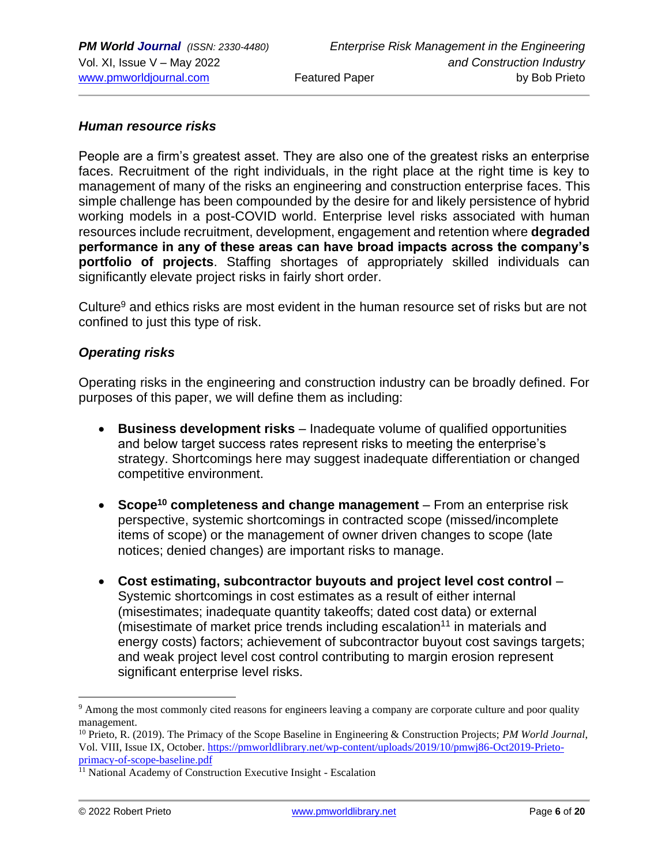# *Human resource risks*

People are a firm's greatest asset. They are also one of the greatest risks an enterprise faces. Recruitment of the right individuals, in the right place at the right time is key to management of many of the risks an engineering and construction enterprise faces. This simple challenge has been compounded by the desire for and likely persistence of hybrid working models in a post-COVID world. Enterprise level risks associated with human resources include recruitment, development, engagement and retention where **degraded performance in any of these areas can have broad impacts across the company's portfolio of projects**. Staffing shortages of appropriately skilled individuals can significantly elevate project risks in fairly short order.

Culture<sup>9</sup> and ethics risks are most evident in the human resource set of risks but are not confined to just this type of risk.

## *Operating risks*

Operating risks in the engineering and construction industry can be broadly defined. For purposes of this paper, we will define them as including:

- **Business development risks** Inadequate volume of qualified opportunities and below target success rates represent risks to meeting the enterprise's strategy. Shortcomings here may suggest inadequate differentiation or changed competitive environment.
- **Scope<sup>10</sup> completeness and change management** From an enterprise risk perspective, systemic shortcomings in contracted scope (missed/incomplete items of scope) or the management of owner driven changes to scope (late notices; denied changes) are important risks to manage.
- **Cost estimating, subcontractor buyouts and project level cost control** Systemic shortcomings in cost estimates as a result of either internal (misestimates; inadequate quantity takeoffs; dated cost data) or external (misestimate of market price trends including escalation $11$  in materials and energy costs) factors; achievement of subcontractor buyout cost savings targets; and weak project level cost control contributing to margin erosion represent significant enterprise level risks.

<sup>9</sup> Among the most commonly cited reasons for engineers leaving a company are corporate culture and poor quality management.

<sup>10</sup> Prieto, R. (2019). The Primacy of the Scope Baseline in Engineering & Construction Projects; *PM World Journal*, Vol. VIII, Issue IX, October. [https://pmworldlibrary.net/wp-content/uploads/2019/10/pmwj86-Oct2019-Prieto](https://pmworldlibrary.net/wp-content/uploads/2019/10/pmwj86-Oct2019-Prieto-primacy-of-scope-baseline.pdf)[primacy-of-scope-baseline.pdf](https://pmworldlibrary.net/wp-content/uploads/2019/10/pmwj86-Oct2019-Prieto-primacy-of-scope-baseline.pdf)

<sup>&</sup>lt;sup>11</sup> National Academy of Construction Executive Insight - Escalation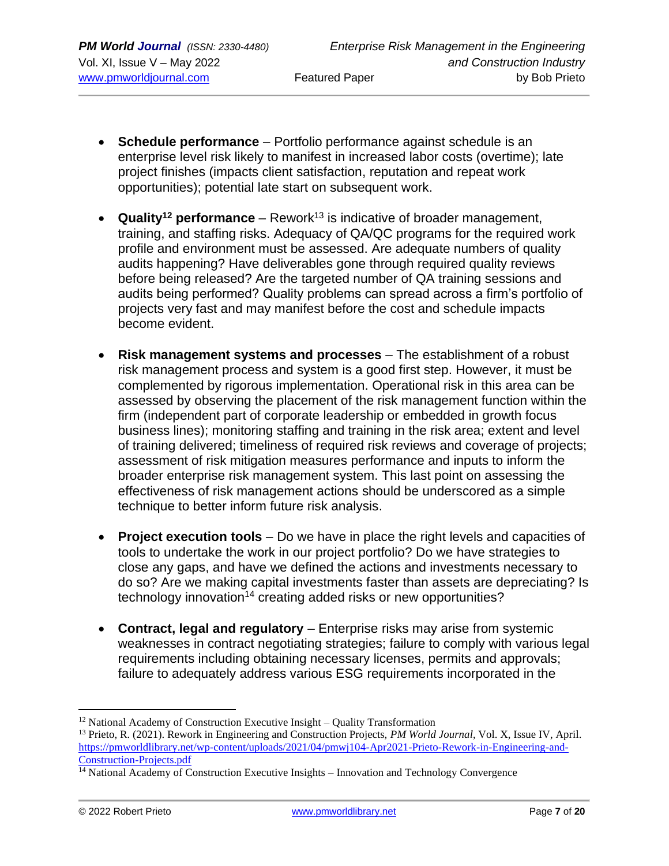- **Schedule performance** Portfolio performance against schedule is an enterprise level risk likely to manifest in increased labor costs (overtime); late project finishes (impacts client satisfaction, reputation and repeat work opportunities); potential late start on subsequent work.
- **Quality<sup>12</sup> performance** Rework<sup>13</sup> is indicative of broader management, training, and staffing risks. Adequacy of QA/QC programs for the required work profile and environment must be assessed. Are adequate numbers of quality audits happening? Have deliverables gone through required quality reviews before being released? Are the targeted number of QA training sessions and audits being performed? Quality problems can spread across a firm's portfolio of projects very fast and may manifest before the cost and schedule impacts become evident.
- **Risk management systems and processes** The establishment of a robust risk management process and system is a good first step. However, it must be complemented by rigorous implementation. Operational risk in this area can be assessed by observing the placement of the risk management function within the firm (independent part of corporate leadership or embedded in growth focus business lines); monitoring staffing and training in the risk area; extent and level of training delivered; timeliness of required risk reviews and coverage of projects; assessment of risk mitigation measures performance and inputs to inform the broader enterprise risk management system. This last point on assessing the effectiveness of risk management actions should be underscored as a simple technique to better inform future risk analysis.
- **Project execution tools** Do we have in place the right levels and capacities of tools to undertake the work in our project portfolio? Do we have strategies to close any gaps, and have we defined the actions and investments necessary to do so? Are we making capital investments faster than assets are depreciating? Is technology innovation<sup>14</sup> creating added risks or new opportunities?
- **Contract, legal and regulatory** Enterprise risks may arise from systemic weaknesses in contract negotiating strategies; failure to comply with various legal requirements including obtaining necessary licenses, permits and approvals; failure to adequately address various ESG requirements incorporated in the

<sup>&</sup>lt;sup>12</sup> National Academy of Construction Executive Insight – Quality Transformation

<sup>13</sup> Prieto, R. (2021). Rework in Engineering and Construction Projects, *PM World Journal*, Vol. X, Issue IV, April. [https://pmworldlibrary.net/wp-content/uploads/2021/04/pmwj104-Apr2021-Prieto-Rework-in-Engineering-and-](https://pmworldlibrary.net/wp-content/uploads/2021/04/pmwj104-Apr2021-Prieto-Rework-in-Engineering-and-Construction-Projects.pdf)[Construction-Projects.pdf](https://pmworldlibrary.net/wp-content/uploads/2021/04/pmwj104-Apr2021-Prieto-Rework-in-Engineering-and-Construction-Projects.pdf)

 $14$  National Academy of Construction Executive Insights – Innovation and Technology Convergence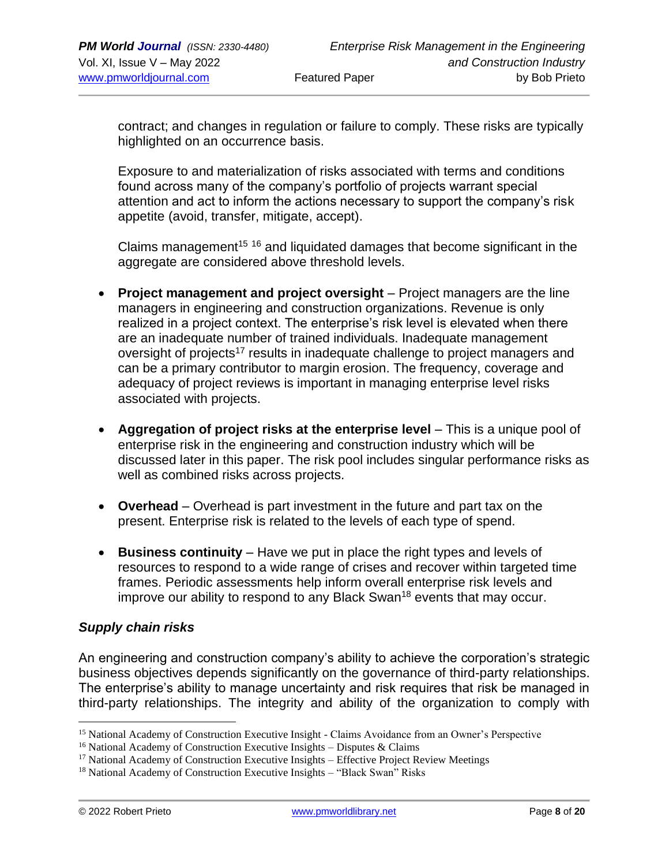contract; and changes in regulation or failure to comply. These risks are typically highlighted on an occurrence basis.

Exposure to and materialization of risks associated with terms and conditions found across many of the company's portfolio of projects warrant special attention and act to inform the actions necessary to support the company's risk appetite (avoid, transfer, mitigate, accept).

Claims management<sup>15</sup> <sup>16</sup> and liquidated damages that become significant in the aggregate are considered above threshold levels.

- **Project management and project oversight** Project managers are the line managers in engineering and construction organizations. Revenue is only realized in a project context. The enterprise's risk level is elevated when there are an inadequate number of trained individuals. Inadequate management oversight of projects<sup>17</sup> results in inadequate challenge to project managers and can be a primary contributor to margin erosion. The frequency, coverage and adequacy of project reviews is important in managing enterprise level risks associated with projects.
- **Aggregation of project risks at the enterprise level** This is a unique pool of enterprise risk in the engineering and construction industry which will be discussed later in this paper. The risk pool includes singular performance risks as well as combined risks across projects.
- **Overhead**  Overhead is part investment in the future and part tax on the present. Enterprise risk is related to the levels of each type of spend.
- **Business continuity** Have we put in place the right types and levels of resources to respond to a wide range of crises and recover within targeted time frames. Periodic assessments help inform overall enterprise risk levels and improve our ability to respond to any Black Swan<sup>18</sup> events that may occur.

# *Supply chain risks*

An engineering and construction company's ability to achieve the corporation's strategic business objectives depends significantly on the governance of third-party relationships. The enterprise's ability to manage uncertainty and risk requires that risk be managed in third-party relationships. The integrity and ability of the organization to comply with

<sup>&</sup>lt;sup>15</sup> National Academy of Construction Executive Insight - Claims Avoidance from an Owner's Perspective

<sup>&</sup>lt;sup>16</sup> National Academy of Construction Executive Insights – Disputes & Claims

<sup>&</sup>lt;sup>17</sup> National Academy of Construction Executive Insights – Effective Project Review Meetings

<sup>18</sup> National Academy of Construction Executive Insights – "Black Swan" Risks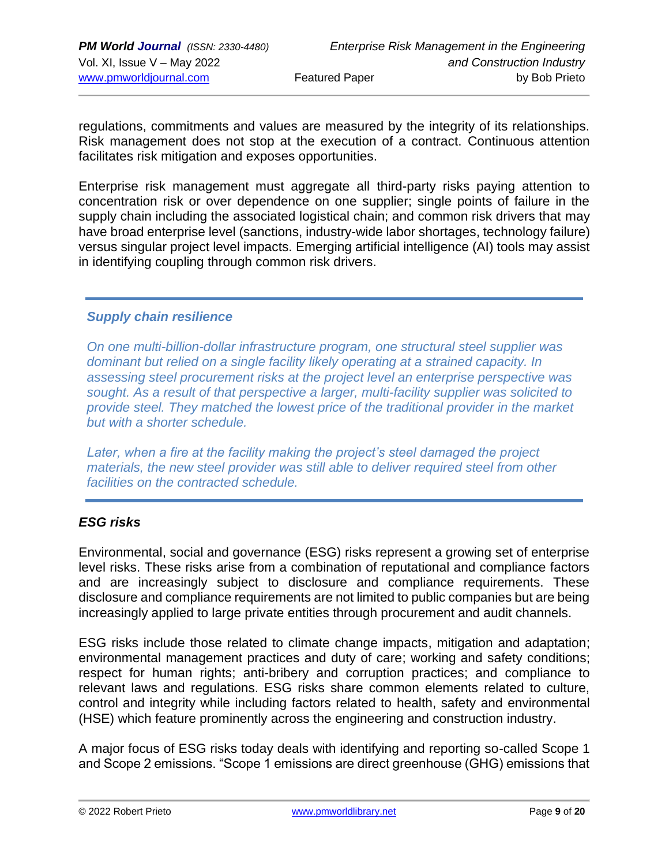regulations, commitments and values are measured by the integrity of its relationships. Risk management does not stop at the execution of a contract. Continuous attention facilitates risk mitigation and exposes opportunities.

Enterprise risk management must aggregate all third-party risks paying attention to concentration risk or over dependence on one supplier; single points of failure in the supply chain including the associated logistical chain; and common risk drivers that may have broad enterprise level (sanctions, industry-wide labor shortages, technology failure) versus singular project level impacts. Emerging artificial intelligence (AI) tools may assist in identifying coupling through common risk drivers.

# *Supply chain resilience*

*On one multi-billion-dollar infrastructure program, one structural steel supplier was dominant but relied on a single facility likely operating at a strained capacity. In assessing steel procurement risks at the project level an enterprise perspective was sought. As a result of that perspective a larger, multi-facility supplier was solicited to provide steel. They matched the lowest price of the traditional provider in the market but with a shorter schedule.*

*Later, when a fire at the facility making the project's steel damaged the project materials, the new steel provider was still able to deliver required steel from other facilities on the contracted schedule.*

# *ESG risks*

Environmental, social and governance (ESG) risks represent a growing set of enterprise level risks. These risks arise from a combination of reputational and compliance factors and are increasingly subject to disclosure and compliance requirements. These disclosure and compliance requirements are not limited to public companies but are being increasingly applied to large private entities through procurement and audit channels.

ESG risks include those related to climate change impacts, mitigation and adaptation; environmental management practices and duty of care; working and safety conditions; respect for human rights; anti-bribery and corruption practices; and compliance to relevant laws and regulations. ESG risks share common elements related to culture, control and integrity while including factors related to health, safety and environmental (HSE) which feature prominently across the engineering and construction industry.

A major focus of ESG risks today deals with identifying and reporting so-called Scope 1 and Scope 2 emissions. "Scope 1 emissions are direct greenhouse (GHG) emissions that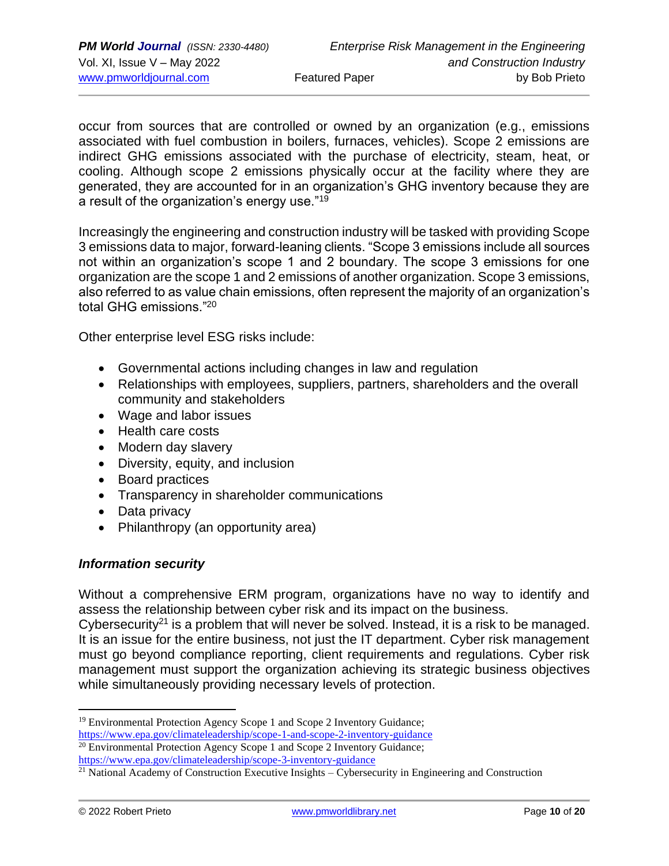occur from sources that are controlled or owned by an organization (e.g., emissions associated with fuel combustion in boilers, furnaces, vehicles). Scope 2 emissions are indirect GHG emissions associated with the purchase of electricity, steam, heat, or cooling. Although scope 2 emissions physically occur at the facility where they are generated, they are accounted for in an organization's GHG inventory because they are a result of the organization's energy use."<sup>19</sup>

Increasingly the engineering and construction industry will be tasked with providing Scope 3 emissions data to major, forward-leaning clients. "Scope 3 emissions include all sources not within an organization's scope 1 and 2 boundary. The scope 3 emissions for one organization are the scope 1 and 2 emissions of another organization. Scope 3 emissions, also referred to as value chain emissions, often represent the majority of an organization's total GHG emissions."<sup>20</sup>

Other enterprise level ESG risks include:

- Governmental actions including changes in law and regulation
- Relationships with employees, suppliers, partners, shareholders and the overall community and stakeholders
- Wage and labor issues
- Health care costs
- Modern day slavery
- Diversity, equity, and inclusion
- Board practices
- Transparency in shareholder communications
- Data privacy
- Philanthropy (an opportunity area)

## *Information security*

Without a comprehensive ERM program, organizations have no way to identify and assess the relationship between cyber risk and its impact on the business.

Cybersecurity<sup>21</sup> is a problem that will never be solved. Instead, it is a risk to be managed. It is an issue for the entire business, not just the IT department. Cyber risk management must go beyond compliance reporting, client requirements and regulations. Cyber risk management must support the organization achieving its strategic business objectives while simultaneously providing necessary levels of protection.

<sup>&</sup>lt;sup>19</sup> Environmental Protection Agency Scope 1 and Scope 2 Inventory Guidance;

<https://www.epa.gov/climateleadership/scope-1-and-scope-2-inventory-guidance>  $20$  Environmental Protection Agency Scope 1 and Scope 2 Inventory Guidance;

<https://www.epa.gov/climateleadership/scope-3-inventory-guidance>

 $^{21}$  National Academy of Construction Executive Insights – Cybersecurity in Engineering and Construction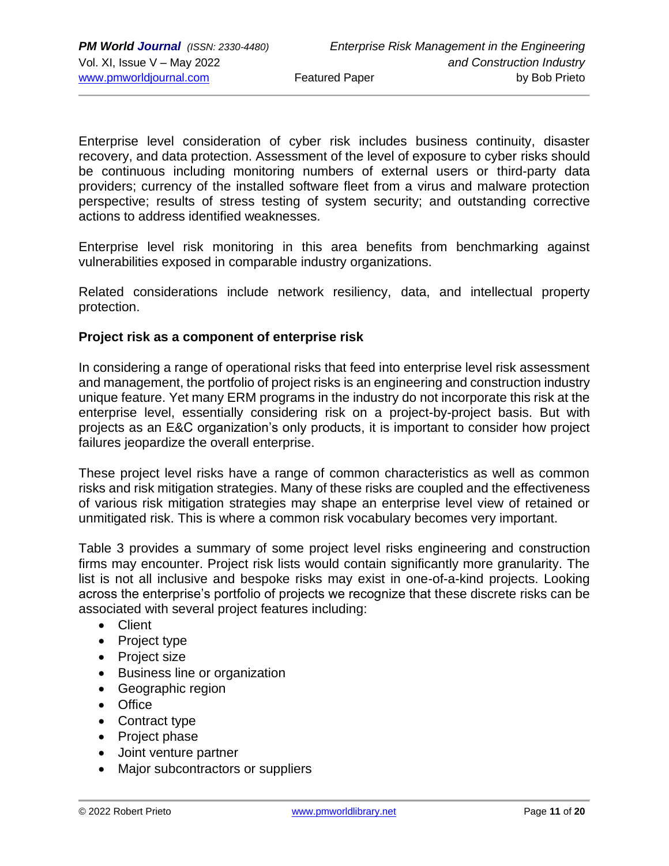Enterprise level consideration of cyber risk includes business continuity, disaster recovery, and data protection. Assessment of the level of exposure to cyber risks should be continuous including monitoring numbers of external users or third-party data providers; currency of the installed software fleet from a virus and malware protection perspective; results of stress testing of system security; and outstanding corrective actions to address identified weaknesses.

Enterprise level risk monitoring in this area benefits from benchmarking against vulnerabilities exposed in comparable industry organizations.

Related considerations include network resiliency, data, and intellectual property protection.

# **Project risk as a component of enterprise risk**

In considering a range of operational risks that feed into enterprise level risk assessment and management, the portfolio of project risks is an engineering and construction industry unique feature. Yet many ERM programs in the industry do not incorporate this risk at the enterprise level, essentially considering risk on a project-by-project basis. But with projects as an E&C organization's only products, it is important to consider how project failures jeopardize the overall enterprise.

These project level risks have a range of common characteristics as well as common risks and risk mitigation strategies. Many of these risks are coupled and the effectiveness of various risk mitigation strategies may shape an enterprise level view of retained or unmitigated risk. This is where a common risk vocabulary becomes very important.

Table 3 provides a summary of some project level risks engineering and construction firms may encounter. Project risk lists would contain significantly more granularity. The list is not all inclusive and bespoke risks may exist in one-of-a-kind projects. Looking across the enterprise's portfolio of projects we recognize that these discrete risks can be associated with several project features including:

- Client
- Project type
- Project size
- Business line or organization
- Geographic region
- Office
- Contract type
- Project phase
- Joint venture partner
- Major subcontractors or suppliers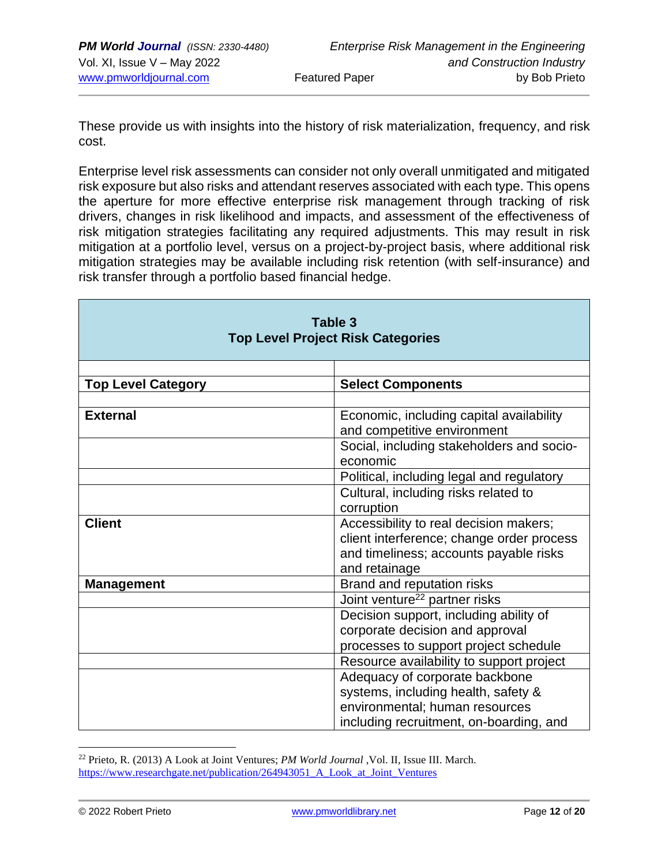These provide us with insights into the history of risk materialization, frequency, and risk cost.

Enterprise level risk assessments can consider not only overall unmitigated and mitigated risk exposure but also risks and attendant reserves associated with each type. This opens the aperture for more effective enterprise risk management through tracking of risk drivers, changes in risk likelihood and impacts, and assessment of the effectiveness of risk mitigation strategies facilitating any required adjustments. This may result in risk mitigation at a portfolio level, versus on a project-by-project basis, where additional risk mitigation strategies may be available including risk retention (with self-insurance) and risk transfer through a portfolio based financial hedge.

| <b>Table 3</b><br><b>Top Level Project Risk Categories</b> |                                                                         |  |  |  |
|------------------------------------------------------------|-------------------------------------------------------------------------|--|--|--|
|                                                            |                                                                         |  |  |  |
| <b>Top Level Category</b>                                  | <b>Select Components</b>                                                |  |  |  |
|                                                            |                                                                         |  |  |  |
| <b>External</b>                                            | Economic, including capital availability<br>and competitive environment |  |  |  |
|                                                            | Social, including stakeholders and socio-<br>economic                   |  |  |  |
|                                                            | Political, including legal and regulatory                               |  |  |  |
|                                                            | Cultural, including risks related to<br>corruption                      |  |  |  |
| <b>Client</b>                                              | Accessibility to real decision makers;                                  |  |  |  |
|                                                            | client interference; change order process                               |  |  |  |
|                                                            | and timeliness; accounts payable risks<br>and retainage                 |  |  |  |
| <b>Management</b>                                          | Brand and reputation risks                                              |  |  |  |
|                                                            | Joint venture <sup>22</sup> partner risks                               |  |  |  |
|                                                            | Decision support, including ability of                                  |  |  |  |
|                                                            | corporate decision and approval                                         |  |  |  |
|                                                            | processes to support project schedule                                   |  |  |  |
|                                                            | Resource availability to support project                                |  |  |  |
|                                                            | Adequacy of corporate backbone                                          |  |  |  |
|                                                            | systems, including health, safety &                                     |  |  |  |
|                                                            | environmental; human resources                                          |  |  |  |
|                                                            | including recruitment, on-boarding, and                                 |  |  |  |

<sup>22</sup> Prieto, R. (2013) A Look at Joint Ventures; *PM World Journal* ,Vol. II, Issue III. March. [https://www.researchgate.net/publication/264943051\\_A\\_Look\\_at\\_Joint\\_Ventures](https://www.researchgate.net/publication/264943051_A_Look_at_Joint_Ventures)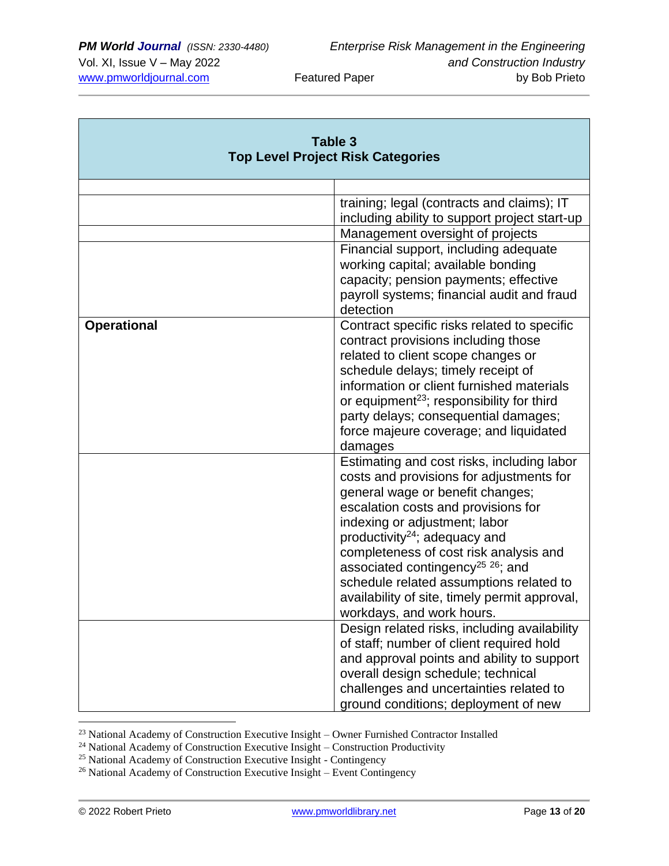| Table 3<br><b>Top Level Project Risk Categories</b> |                                                                                                                                                                                                                                                                                                                                                                                                                                                                               |  |  |  |
|-----------------------------------------------------|-------------------------------------------------------------------------------------------------------------------------------------------------------------------------------------------------------------------------------------------------------------------------------------------------------------------------------------------------------------------------------------------------------------------------------------------------------------------------------|--|--|--|
|                                                     |                                                                                                                                                                                                                                                                                                                                                                                                                                                                               |  |  |  |
|                                                     | training; legal (contracts and claims); IT<br>including ability to support project start-up<br>Management oversight of projects<br>Financial support, including adequate<br>working capital; available bonding<br>capacity; pension payments; effective<br>payroll systems; financial audit and fraud<br>detection                                                                                                                                                            |  |  |  |
| <b>Operational</b>                                  | Contract specific risks related to specific<br>contract provisions including those<br>related to client scope changes or<br>schedule delays; timely receipt of<br>information or client furnished materials<br>or equipment <sup>23</sup> ; responsibility for third<br>party delays; consequential damages;<br>force majeure coverage; and liquidated<br>damages                                                                                                             |  |  |  |
|                                                     | Estimating and cost risks, including labor<br>costs and provisions for adjustments for<br>general wage or benefit changes;<br>escalation costs and provisions for<br>indexing or adjustment; labor<br>productivity <sup>24</sup> ; adequacy and<br>completeness of cost risk analysis and<br>associated contingency <sup>25</sup> <sup>26</sup> ; and<br>schedule related assumptions related to<br>availability of site, timely permit approval,<br>workdays, and work hours |  |  |  |
|                                                     | Design related risks, including availability<br>of staff; number of client required hold<br>and approval points and ability to support<br>overall design schedule; technical<br>challenges and uncertainties related to<br>ground conditions; deployment of new                                                                                                                                                                                                               |  |  |  |

<sup>&</sup>lt;sup>23</sup> National Academy of Construction Executive Insight – Owner Furnished Contractor Installed

<sup>&</sup>lt;sup>24</sup> National Academy of Construction Executive Insight – Construction Productivity

<sup>&</sup>lt;sup>25</sup> National Academy of Construction Executive Insight - Contingency

<sup>&</sup>lt;sup>26</sup> National Academy of Construction Executive Insight – Event Contingency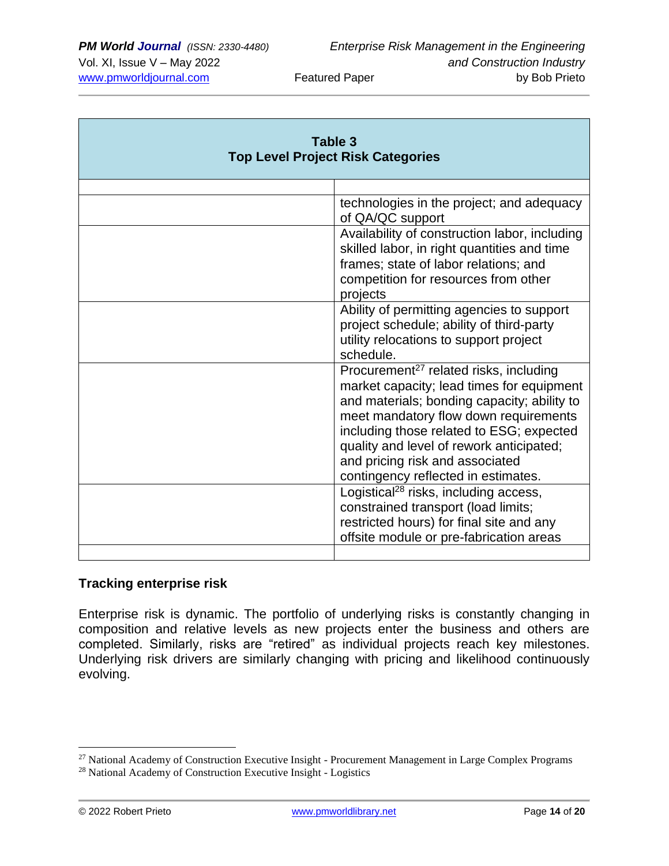| Table 3<br><b>Top Level Project Risk Categories</b> |                                                                                                                                                                                                                                                                                                                                                           |  |  |
|-----------------------------------------------------|-----------------------------------------------------------------------------------------------------------------------------------------------------------------------------------------------------------------------------------------------------------------------------------------------------------------------------------------------------------|--|--|
|                                                     |                                                                                                                                                                                                                                                                                                                                                           |  |  |
|                                                     | technologies in the project; and adequacy<br>of QA/QC support                                                                                                                                                                                                                                                                                             |  |  |
|                                                     | Availability of construction labor, including<br>skilled labor, in right quantities and time<br>frames; state of labor relations; and<br>competition for resources from other<br>projects                                                                                                                                                                 |  |  |
|                                                     | Ability of permitting agencies to support<br>project schedule; ability of third-party<br>utility relocations to support project<br>schedule.                                                                                                                                                                                                              |  |  |
|                                                     | Procurement <sup>27</sup> related risks, including<br>market capacity; lead times for equipment<br>and materials; bonding capacity; ability to<br>meet mandatory flow down requirements<br>including those related to ESG; expected<br>quality and level of rework anticipated;<br>and pricing risk and associated<br>contingency reflected in estimates. |  |  |
|                                                     | Logistical <sup>28</sup> risks, including access,<br>constrained transport (load limits;<br>restricted hours) for final site and any<br>offsite module or pre-fabrication areas                                                                                                                                                                           |  |  |

## **Tracking enterprise risk**

Enterprise risk is dynamic. The portfolio of underlying risks is constantly changing in composition and relative levels as new projects enter the business and others are completed. Similarly, risks are "retired" as individual projects reach key milestones. Underlying risk drivers are similarly changing with pricing and likelihood continuously evolving.

<sup>&</sup>lt;sup>27</sup> National Academy of Construction Executive Insight - Procurement Management in Large Complex Programs

<sup>28</sup> National Academy of Construction Executive Insight - Logistics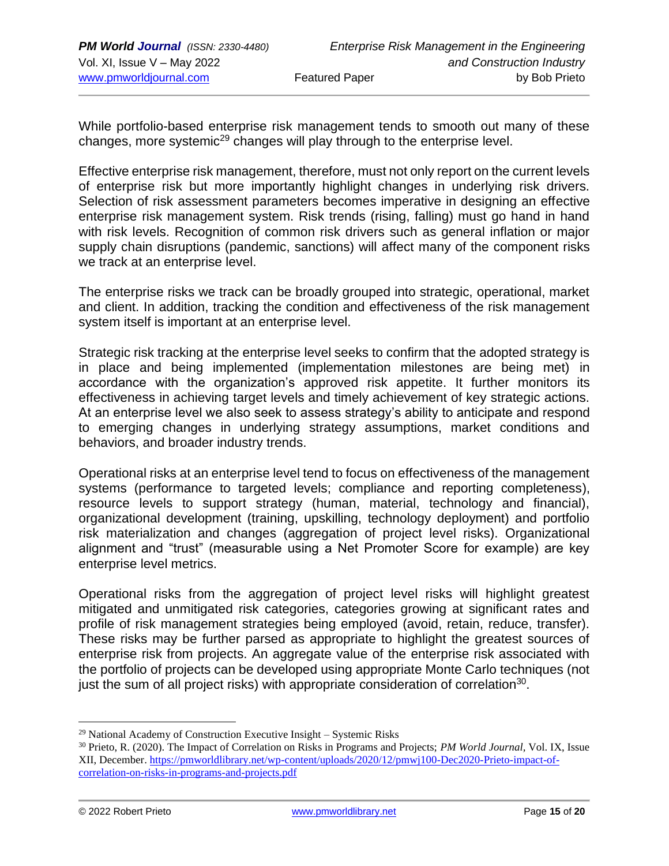While portfolio-based enterprise risk management tends to smooth out many of these changes, more systemic<sup>29</sup> changes will play through to the enterprise level.

Effective enterprise risk management, therefore, must not only report on the current levels of enterprise risk but more importantly highlight changes in underlying risk drivers. Selection of risk assessment parameters becomes imperative in designing an effective enterprise risk management system. Risk trends (rising, falling) must go hand in hand with risk levels. Recognition of common risk drivers such as general inflation or major supply chain disruptions (pandemic, sanctions) will affect many of the component risks we track at an enterprise level.

The enterprise risks we track can be broadly grouped into strategic, operational, market and client. In addition, tracking the condition and effectiveness of the risk management system itself is important at an enterprise level.

Strategic risk tracking at the enterprise level seeks to confirm that the adopted strategy is in place and being implemented (implementation milestones are being met) in accordance with the organization's approved risk appetite. It further monitors its effectiveness in achieving target levels and timely achievement of key strategic actions. At an enterprise level we also seek to assess strategy's ability to anticipate and respond to emerging changes in underlying strategy assumptions, market conditions and behaviors, and broader industry trends.

Operational risks at an enterprise level tend to focus on effectiveness of the management systems (performance to targeted levels; compliance and reporting completeness), resource levels to support strategy (human, material, technology and financial), organizational development (training, upskilling, technology deployment) and portfolio risk materialization and changes (aggregation of project level risks). Organizational alignment and "trust" (measurable using a Net Promoter Score for example) are key enterprise level metrics.

Operational risks from the aggregation of project level risks will highlight greatest mitigated and unmitigated risk categories, categories growing at significant rates and profile of risk management strategies being employed (avoid, retain, reduce, transfer). These risks may be further parsed as appropriate to highlight the greatest sources of enterprise risk from projects. An aggregate value of the enterprise risk associated with the portfolio of projects can be developed using appropriate Monte Carlo techniques (not just the sum of all project risks) with appropriate consideration of correlation<sup>30</sup>.

 $29$  National Academy of Construction Executive Insight – Systemic Risks

<sup>30</sup> Prieto, R. (2020). The Impact of Correlation on Risks in Programs and Projects; *PM World Journal,* Vol. IX, Issue XII, December. [https://pmworldlibrary.net/wp-content/uploads/2020/12/pmwj100-Dec2020-Prieto-impact-of](https://pmworldlibrary.net/wp-content/uploads/2020/12/pmwj100-Dec2020-Prieto-impact-of-correlation-on-risks-in-programs-and-projects.pdf)[correlation-on-risks-in-programs-and-projects.pdf](https://pmworldlibrary.net/wp-content/uploads/2020/12/pmwj100-Dec2020-Prieto-impact-of-correlation-on-risks-in-programs-and-projects.pdf)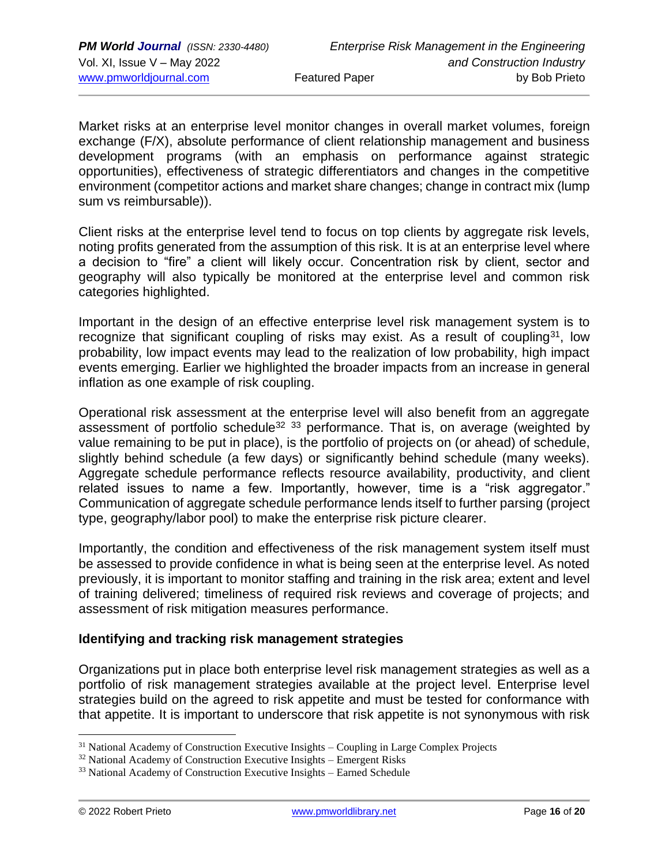Market risks at an enterprise level monitor changes in overall market volumes, foreign exchange (F/X), absolute performance of client relationship management and business development programs (with an emphasis on performance against strategic opportunities), effectiveness of strategic differentiators and changes in the competitive environment (competitor actions and market share changes; change in contract mix (lump sum vs reimbursable)).

Client risks at the enterprise level tend to focus on top clients by aggregate risk levels, noting profits generated from the assumption of this risk. It is at an enterprise level where a decision to "fire" a client will likely occur. Concentration risk by client, sector and geography will also typically be monitored at the enterprise level and common risk categories highlighted.

Important in the design of an effective enterprise level risk management system is to recognize that significant coupling of risks may exist. As a result of coupling<sup>31</sup>, low probability, low impact events may lead to the realization of low probability, high impact events emerging. Earlier we highlighted the broader impacts from an increase in general inflation as one example of risk coupling.

Operational risk assessment at the enterprise level will also benefit from an aggregate assessment of portfolio schedule<sup>32 33</sup> performance. That is, on average (weighted by value remaining to be put in place), is the portfolio of projects on (or ahead) of schedule, slightly behind schedule (a few days) or significantly behind schedule (many weeks). Aggregate schedule performance reflects resource availability, productivity, and client related issues to name a few. Importantly, however, time is a "risk aggregator." Communication of aggregate schedule performance lends itself to further parsing (project type, geography/labor pool) to make the enterprise risk picture clearer.

Importantly, the condition and effectiveness of the risk management system itself must be assessed to provide confidence in what is being seen at the enterprise level. As noted previously, it is important to monitor staffing and training in the risk area; extent and level of training delivered; timeliness of required risk reviews and coverage of projects; and assessment of risk mitigation measures performance.

# **Identifying and tracking risk management strategies**

Organizations put in place both enterprise level risk management strategies as well as a portfolio of risk management strategies available at the project level. Enterprise level strategies build on the agreed to risk appetite and must be tested for conformance with that appetite. It is important to underscore that risk appetite is not synonymous with risk

<sup>&</sup>lt;sup>31</sup> National Academy of Construction Executive Insights – Coupling in Large Complex Projects

<sup>32</sup> National Academy of Construction Executive Insights – Emergent Risks

<sup>33</sup> National Academy of Construction Executive Insights – Earned Schedule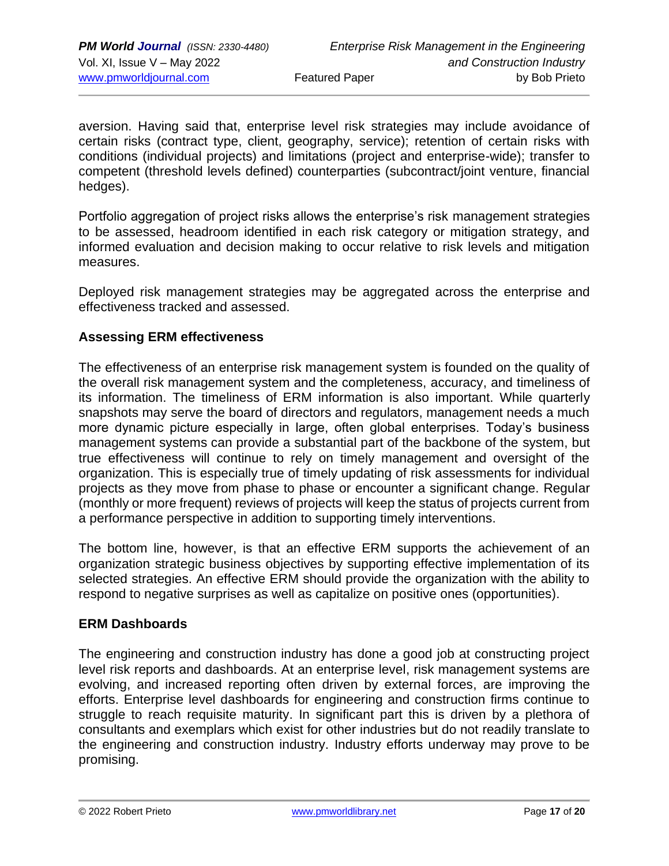aversion. Having said that, enterprise level risk strategies may include avoidance of certain risks (contract type, client, geography, service); retention of certain risks with conditions (individual projects) and limitations (project and enterprise-wide); transfer to competent (threshold levels defined) counterparties (subcontract/joint venture, financial hedges).

Portfolio aggregation of project risks allows the enterprise's risk management strategies to be assessed, headroom identified in each risk category or mitigation strategy, and informed evaluation and decision making to occur relative to risk levels and mitigation measures.

Deployed risk management strategies may be aggregated across the enterprise and effectiveness tracked and assessed.

# **Assessing ERM effectiveness**

The effectiveness of an enterprise risk management system is founded on the quality of the overall risk management system and the completeness, accuracy, and timeliness of its information. The timeliness of ERM information is also important. While quarterly snapshots may serve the board of directors and regulators, management needs a much more dynamic picture especially in large, often global enterprises. Today's business management systems can provide a substantial part of the backbone of the system, but true effectiveness will continue to rely on timely management and oversight of the organization. This is especially true of timely updating of risk assessments for individual projects as they move from phase to phase or encounter a significant change. Regular (monthly or more frequent) reviews of projects will keep the status of projects current from a performance perspective in addition to supporting timely interventions.

The bottom line, however, is that an effective ERM supports the achievement of an organization strategic business objectives by supporting effective implementation of its selected strategies. An effective ERM should provide the organization with the ability to respond to negative surprises as well as capitalize on positive ones (opportunities).

## **ERM Dashboards**

The engineering and construction industry has done a good job at constructing project level risk reports and dashboards. At an enterprise level, risk management systems are evolving, and increased reporting often driven by external forces, are improving the efforts. Enterprise level dashboards for engineering and construction firms continue to struggle to reach requisite maturity. In significant part this is driven by a plethora of consultants and exemplars which exist for other industries but do not readily translate to the engineering and construction industry. Industry efforts underway may prove to be promising.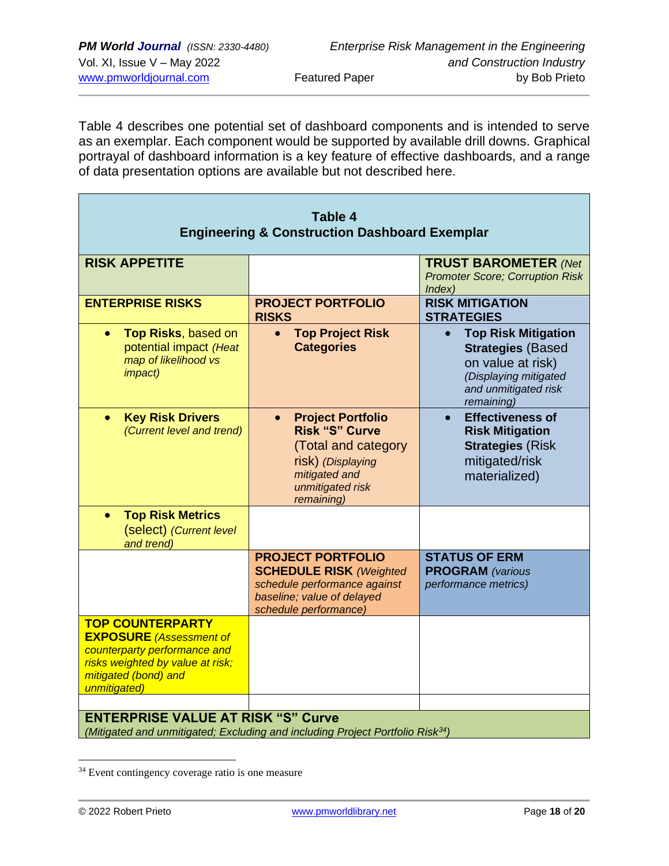Table 4 describes one potential set of dashboard components and is intended to serve as an exemplar. Each component would be supported by available drill downs. Graphical portrayal of dashboard information is a key feature of effective dashboards, and a range of data presentation options are available but not described here.

| <b>Table 4</b><br><b>Engineering &amp; Construction Dashboard Exemplar</b>                                                                                            |                                                                                                                                                               |                                                                                                                                            |  |  |  |
|-----------------------------------------------------------------------------------------------------------------------------------------------------------------------|---------------------------------------------------------------------------------------------------------------------------------------------------------------|--------------------------------------------------------------------------------------------------------------------------------------------|--|--|--|
| <b>RISK APPETITE</b>                                                                                                                                                  |                                                                                                                                                               | <b>TRUST BAROMETER (Net</b><br><b>Promoter Score; Corruption Risk</b><br>Index)                                                            |  |  |  |
| <b>ENTERPRISE RISKS</b>                                                                                                                                               | <b>PROJECT PORTFOLIO</b><br><b>RISKS</b>                                                                                                                      | <b>RISK MITIGATION</b><br><b>STRATEGIES</b>                                                                                                |  |  |  |
| Top Risks, based on<br>$\bullet$<br>potential impact (Heat<br>map of likelihood vs<br><i>impact)</i>                                                                  | <b>Top Project Risk</b><br>$\bullet$<br><b>Categories</b>                                                                                                     | <b>Top Risk Mitigation</b><br><b>Strategies (Based</b><br>on value at risk)<br>(Displaying mitigated<br>and unmitigated risk<br>remaining) |  |  |  |
| <b>Key Risk Drivers</b><br>$\bullet$<br>(Current level and trend)                                                                                                     | <b>Project Portfolio</b><br>$\bullet$<br><b>Risk "S" Curve</b><br>(Total and category<br>risk) (Displaying<br>mitigated and<br>unmitigated risk<br>remaining) | <b>Effectiveness of</b><br>$\bullet$<br><b>Risk Mitigation</b><br><b>Strategies (Risk</b><br>mitigated/risk<br>materialized)               |  |  |  |
| <b>Top Risk Metrics</b><br>$\bullet$<br>(select) (Current level)<br>and trend)                                                                                        |                                                                                                                                                               |                                                                                                                                            |  |  |  |
|                                                                                                                                                                       | <b>PROJECT PORTFOLIO</b><br><b>SCHEDULE RISK (Weighted</b><br>schedule performance against<br>baseline; value of delayed<br>schedule performance)             | <b>STATUS OF ERM</b><br><b>PROGRAM</b> (various<br>performance metrics)                                                                    |  |  |  |
| <b>TOP COUNTERPARTY</b><br><b>EXPOSURE</b> (Assessment of<br>counterparty performance and<br>risks weighted by value at risk;<br>mitigated (bond) and<br>unmitigated) |                                                                                                                                                               |                                                                                                                                            |  |  |  |
| <b>ENTERPRISE VALUE AT RISK "S" Curve</b><br>(Mitigated and unmitigated; Excluding and including Project Portfolio Risk <sup>34</sup> )                               |                                                                                                                                                               |                                                                                                                                            |  |  |  |

<sup>&</sup>lt;sup>34</sup> Event contingency coverage ratio is one measure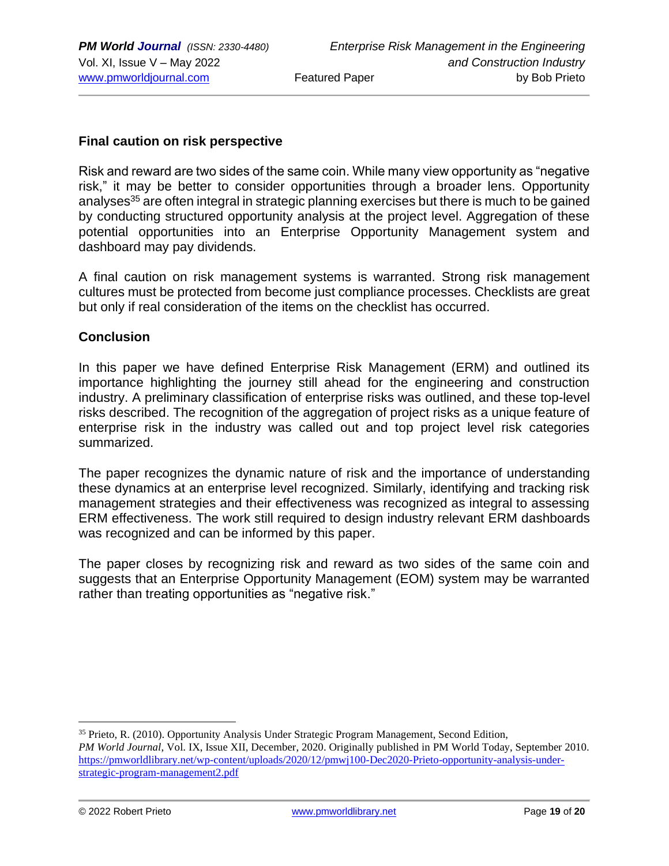## **Final caution on risk perspective**

Risk and reward are two sides of the same coin. While many view opportunity as "negative risk," it may be better to consider opportunities through a broader lens. Opportunity analyses<sup>35</sup> are often integral in strategic planning exercises but there is much to be gained by conducting structured opportunity analysis at the project level. Aggregation of these potential opportunities into an Enterprise Opportunity Management system and dashboard may pay dividends.

A final caution on risk management systems is warranted. Strong risk management cultures must be protected from become just compliance processes. Checklists are great but only if real consideration of the items on the checklist has occurred.

# **Conclusion**

In this paper we have defined Enterprise Risk Management (ERM) and outlined its importance highlighting the journey still ahead for the engineering and construction industry. A preliminary classification of enterprise risks was outlined, and these top-level risks described. The recognition of the aggregation of project risks as a unique feature of enterprise risk in the industry was called out and top project level risk categories summarized.

The paper recognizes the dynamic nature of risk and the importance of understanding these dynamics at an enterprise level recognized. Similarly, identifying and tracking risk management strategies and their effectiveness was recognized as integral to assessing ERM effectiveness. The work still required to design industry relevant ERM dashboards was recognized and can be informed by this paper.

The paper closes by recognizing risk and reward as two sides of the same coin and suggests that an Enterprise Opportunity Management (EOM) system may be warranted rather than treating opportunities as "negative risk."

<sup>&</sup>lt;sup>35</sup> Prieto, R. (2010). Opportunity Analysis Under Strategic Program Management, Second Edition, *PM World Journal*, Vol. IX, Issue XII, December, 2020. Originally published in PM World Today, September 2010. [https://pmworldlibrary.net/wp-content/uploads/2020/12/pmwj100-Dec2020-Prieto-opportunity-analysis-under](https://pmworldlibrary.net/wp-content/uploads/2020/12/pmwj100-Dec2020-Prieto-opportunity-analysis-under-strategic-program-management2.pdf)[strategic-program-management2.pdf](https://pmworldlibrary.net/wp-content/uploads/2020/12/pmwj100-Dec2020-Prieto-opportunity-analysis-under-strategic-program-management2.pdf)